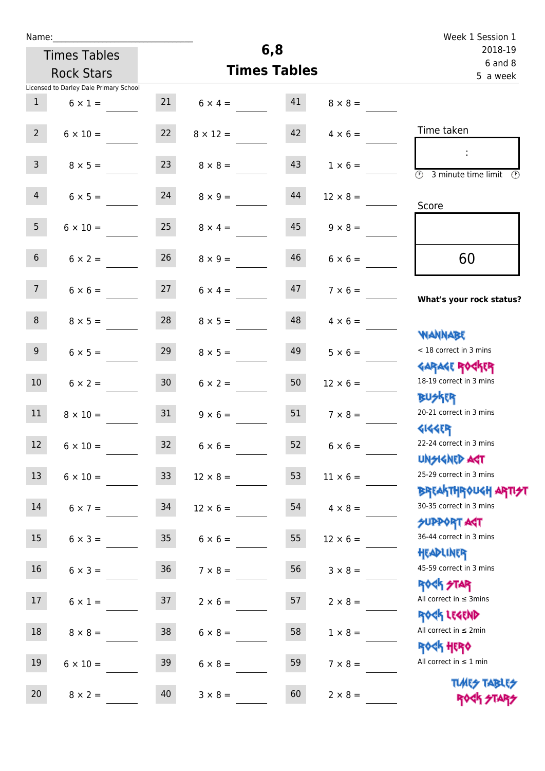|  | Name: |  |
|--|-------|--|
|  |       |  |

| Name:                      |                                        |                     |                 |    |                        | Week 1 Session 1                                                 |
|----------------------------|----------------------------------------|---------------------|-----------------|----|------------------------|------------------------------------------------------------------|
| 6,8<br><b>Times Tables</b> |                                        |                     |                 |    | 2018-19<br>$6$ and $8$ |                                                                  |
|                            | <b>Rock Stars</b>                      | <b>Times Tables</b> |                 |    | 5 a week               |                                                                  |
|                            | Licensed to Darley Dale Primary School |                     |                 |    |                        |                                                                  |
| 1                          | $6 \times 1 =$                         | 21                  | $6 \times 4 =$  | 41 | $8 \times 8 =$         |                                                                  |
| $2^{\circ}$                | $6 \times 10 =$                        | 22                  | $8 \times 12 =$ | 42 | $4 \times 6 =$         | Time taken                                                       |
| 3 <sup>7</sup>             | $8 \times 5 =$                         | 23                  | $8 \times 8 =$  | 43 | $1 \times 6 =$         | $\circled{r}$<br>3 minute time limit<br>$\mathcal{O}$            |
| $\overline{4}$             | $6 \times 5 =$                         | 24                  | $8 \times 9 =$  | 44 | $12 \times 8 =$        | Score                                                            |
| 5 <sub>1</sub>             | $6 \times 10 =$                        | 25                  | $8 \times 4 =$  | 45 | $9 \times 8 =$         |                                                                  |
| 6 <sup>1</sup>             | $6 \times 2 =$                         | 26                  | $8 \times 9 =$  | 46 | $6 \times 6 =$         | 60                                                               |
| 7 <sup>7</sup>             | $6 \times 6 =$                         | 27                  | $6 \times 4 =$  | 47 | $7 \times 6 =$         | What's your rock status?                                         |
| 8                          | $8 \times 5 =$                         | 28                  | $8 \times 5 =$  | 48 | $4 \times 6 =$         | <b>NANNABE</b>                                                   |
| 9 <sub>o</sub>             | $6 \times 5 =$                         | 29                  | $8 \times 5 =$  | 49 | $5 \times 6 =$         | < 18 correct in 3 mins<br><b>GARAGE ROGKER</b>                   |
| 10 <sup>°</sup>            | $6 \times 2 =$                         | 30 <sup>1</sup>     | $6 \times 2 =$  | 50 | $12 \times 6 =$        | 18-19 correct in 3 mins<br><b>BUSKER</b>                         |
| 11                         | $8 \times 10 =$                        | 31                  | $9 \times 6 =$  | 51 | $7 \times 8 =$         | 20-21 correct in 3 mins<br><b>4144ER</b>                         |
| 12                         | $6 \times 10 =$                        | 32                  | $6 \times 6 =$  | 52 | $6 \times 6 =$         | 22-24 correct in 3 mins<br><b>UNSIGNED AST</b>                   |
| 13                         | $6 \times 10 =$                        | 33 <sup>°</sup>     | $12 \times 8 =$ | 53 | $11 \times 6 =$        | 25-29 correct in 3 mins<br><b>BREAKTHROUGH ARTI<del>S</del>T</b> |
| 14                         | $6 \times 7 =$                         | 34                  | $12 \times 6 =$ | 54 | $4 \times 8 =$         | 30-35 correct in 3 mins<br><b>SUPPORT AGT</b>                    |
| 15                         | $6 \times 3 =$                         | 35                  | $6 \times 6 =$  | 55 | $12 \times 6 =$        | 36-44 correct in 3 mins<br>HEADLINER                             |
| 16                         | $6 \times 3 =$                         | 36                  | $7 \times 8 =$  | 56 | $3 \times 8 =$         | 45-59 correct in 3 mins<br>ROCK STAR                             |
| 17                         | $6 \times 1 =$                         | 37                  | $2 \times 6 =$  | 57 | $2 \times 8 =$         | All correct in $\leq$ 3mins<br>ROCK LEGEND                       |
| 18                         | $8 \times 8 =$                         | 38                  | $6 \times 8 =$  | 58 | $1 \times 8 =$         | All correct in $\leq 2$ min<br>ROCK HERO                         |
| 19                         | $6 \times 10 =$                        | 39                  | $6 \times 8 =$  | 59 | $7 \times 8 =$         | All correct in $\leq 1$ min                                      |
| 20                         | $8 \times 2 =$                         | $40\,$              | $3 \times 8 =$  | 60 | $2 \times 8 =$         | <b>TUARS TABLES</b><br>ROCK STARS                                |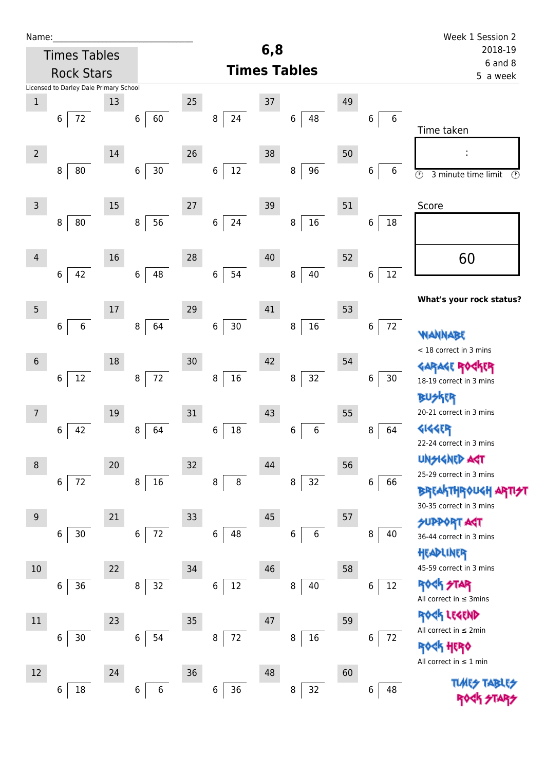| Name:          |                                        |    |                  |        |               |     |                     |    |               | Week 1 Session 2                                |
|----------------|----------------------------------------|----|------------------|--------|---------------|-----|---------------------|----|---------------|-------------------------------------------------|
|                | <b>Times Tables</b>                    |    |                  |        |               | 6,8 |                     |    |               | 2018-19                                         |
|                | <b>Rock Stars</b>                      |    |                  |        |               |     | <b>Times Tables</b> |    |               | $6$ and $8$<br>5 a week                         |
|                | Licensed to Darley Dale Primary School |    |                  |        |               |     |                     |    |               |                                                 |
| $\mathbf 1$    |                                        | 13 |                  | $25\,$ |               | 37  |                     | 49 |               |                                                 |
|                | 6<br>72                                |    | 60<br>6          |        | 24<br>8       |     | 6<br>48             |    | $\,6$<br>6    | Time taken                                      |
| $\overline{2}$ |                                        | 14 |                  | 26     |               | 38  |                     | 50 |               |                                                 |
|                | $80\,$<br>8                            |    | $30\,$<br>6      |        | 12<br>$\,6$   |     | 96<br>$\, 8$        |    | 6<br>6        | $\odot$<br>$\circled{r}$<br>3 minute time limit |
| 3              |                                        | 15 |                  | 27     |               | 39  |                     | 51 |               | Score                                           |
|                | 80<br>8                                |    | 56<br>8          |        | 24<br>$\,6\,$ |     | 16<br>8             |    | 18<br>$\bf 6$ |                                                 |
| $\overline{4}$ |                                        | 16 |                  | 28     |               | 40  |                     | 52 |               | 60                                              |
|                | 42<br>$\,6\,$                          |    | 48<br>$\,6\,$    |        | 54<br>$6\,$   |     | 40<br>$\, 8$        |    | 12<br>6       |                                                 |
| 5              |                                        | 17 |                  | 29     |               | 41  |                     | 53 |               | What's your rock status?                        |
|                | $\,6\,$<br>6                           |    | 64<br>8          |        | $30\,$<br>6   |     | $16\,$<br>$\, 8$    |    | 72<br>$\,6$   | WANNABE                                         |
| $6\,$          |                                        | 18 |                  | 30     |               | 42  |                     | 54 |               | < 18 correct in 3 mins<br><b>GARAGE RO</b>      |
|                | $12\,$<br>6                            |    | 72<br>8          |        | $16\,$<br>8   |     | 32<br>8             |    | 30<br>6       | 18-19 correct in 3 mins<br>BUSKER               |
| 7              |                                        | 19 |                  | 31     |               | 43  |                     | 55 |               | 20-21 correct in 3 mins                         |
|                | 42<br>6                                |    | 64<br>8          |        | 18<br>6       |     | 6<br>6              |    | 8<br>64       | <b>4144EP</b><br>22-24 correct in 3 mins        |
| 8              |                                        | 20 |                  | 32     |               | 44  |                     | 56 |               | <b>UNSIGNED AGT</b>                             |
|                | $72\,$<br>6                            |    | $16\,$<br>8      |        | $\bf 8$<br>8  |     | 32<br>8             |    | 6<br>66       | 25-29 correct in 3 mins                         |
|                |                                        |    |                  |        |               |     |                     |    |               | <b>BREAKTHROUGH</b><br>30-35 correct in 3 mins  |
| 9              |                                        | 21 |                  | 33     |               | 45  |                     | 57 |               | <b>SUPPORT AGT</b>                              |
|                | $30$<br>6                              |    | $72\,$<br>6      |        | 48<br>$\,6\,$ |     | 6<br>$\,$ 6 $\,$    |    | 8<br>40       | 36-44 correct in 3 mins<br>HEADLINER            |
| $10\,$         |                                        | 22 |                  | 34     |               | 46  |                     | 58 |               | 45-59 correct in 3 mins                         |
|                | 36<br>6                                |    | 32<br>8          |        | 12<br>6       |     | 40<br>8             |    | 12<br>6       | <b>ROCK STAR</b><br>All correct in $\leq$ 3mins |
| $11\,$         |                                        | 23 |                  | 35     |               | 47  |                     | 59 |               | ROCK LEGEND                                     |
|                | $30\,$<br>6                            |    | 54<br>6          |        | 72<br>8       |     | 16<br>8             |    | 72<br>6       | All correct in $\leq 2$ min                     |
| 12             |                                        | 24 |                  | 36     |               | 48  |                     | 60 |               | HERO<br>All correct in $\leq 1$ min             |
|                | $18\,$<br>6                            |    | $\,6\,$<br>$\,6$ |        | 36<br>6       |     | 32<br>8             |    | 6<br>48       | <b>TLARS</b>                                    |
|                |                                        |    |                  |        |               |     |                     |    |               |                                                 |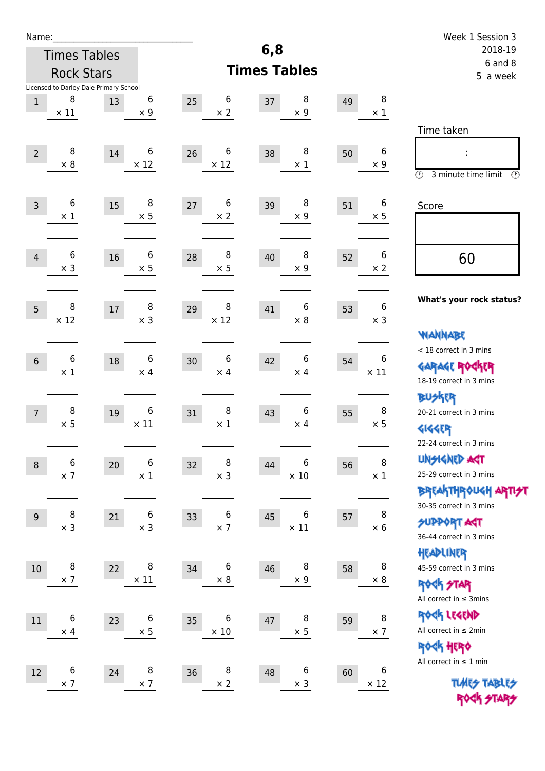| Name:          |                                        |        |                 |                  |                        |                 |    |                       | Week 1 Session 3                                      |
|----------------|----------------------------------------|--------|-----------------|------------------|------------------------|-----------------|----|-----------------------|-------------------------------------------------------|
|                | <b>Times Tables</b>                    |        |                 |                  | 6,8                    |                 |    |                       | 2018-19                                               |
|                | <b>Rock Stars</b>                      |        |                 |                  | <b>Times Tables</b>    |                 |    |                       | $6$ and $8$<br>5 a week                               |
|                | Licensed to Darley Dale Primary School |        |                 |                  |                        |                 |    |                       |                                                       |
| $1\,$          | 8<br>$\times$ 11                       | 13     | 6<br>$\times$ 9 | 25<br>$\times 2$ | 6<br>37                | 8<br>$\times 9$ | 49 | $\bf 8$<br>$\times$ 1 |                                                       |
|                |                                        |        |                 |                  |                        |                 |    |                       |                                                       |
|                |                                        |        |                 |                  |                        |                 |    |                       | Time taken                                            |
| $\overline{2}$ | 8                                      | 14     | 6               | 26               | 6<br>38                | 8               | 50 | 6                     | t,                                                    |
|                | $\times 8$                             |        | $\times$ 12     | $\times$ 12      |                        | $\times$ 1      |    | $\times 9$            | $\circled{r}$<br>3 minute time limit<br>$\mathcal{O}$ |
|                |                                        |        |                 |                  |                        |                 |    |                       |                                                       |
| $\overline{3}$ | 6                                      | 15     | 8               | 27               | $\boldsymbol{6}$<br>39 | 8               | 51 | 6                     | Score                                                 |
|                | $\times 1$                             |        | $\times$ 5      | $\times$ 2       |                        | $\times 9$      |    | $\times$ 5            |                                                       |
|                |                                        |        |                 |                  |                        |                 |    |                       |                                                       |
| $\overline{4}$ | 6                                      | 16     | 6               | 28               | 8<br>40                | 8               | 52 | 6                     | 60                                                    |
|                | $\times$ 3                             |        | $\times$ 5      | $\times$ 5       |                        | $\times$ 9      |    | $\times 2$            |                                                       |
|                |                                        |        |                 |                  |                        |                 |    |                       | What's your rock status?                              |
| 5              | 8                                      | $17\,$ | 8               | 29               | 8<br>41                | 6               | 53 | 6                     |                                                       |
|                | $\times$ 12                            |        | $\times$ 3      | $\times$ 12      |                        | $\times 8$      |    | $\times$ 3            | <b>WANNABE</b>                                        |
|                |                                        |        |                 |                  |                        |                 |    |                       | < 18 correct in 3 mins                                |
| $6\,$          | 6                                      | $18\,$ | 6               | 30               | 6<br>42                | 6               | 54 | 6                     | <b>GARAGE ROGKER</b>                                  |
|                | $\times$ 1                             |        | $\times$ 4      | $\times$ 4       |                        | $\times$ 4      |    | $\times$ 11           | 18-19 correct in 3 mins                               |
|                |                                        |        |                 |                  |                        |                 |    |                       | <b>BUSKER</b>                                         |
| $\overline{7}$ | 8                                      | 19     | 6               | 31               | 8<br>43                | 6               | 55 | 8                     | 20-21 correct in 3 mins                               |
|                | $\times$ 5                             |        | $\times$ 11     | $\times$ 1       |                        | $\times$ 4      |    | $\times 5$            | <b>4144EP</b>                                         |
|                |                                        |        |                 |                  |                        |                 |    |                       | 22-24 correct in 3 mins                               |
| $\,8\,$        | 6                                      | 20     | 6               | 32               | 8<br>44                | 6               | 56 | 8                     | <b>UNSIGNED AGT</b>                                   |
|                | $\times$ 7                             |        | $\times$ 1      | $\times$ 3       |                        | $\times$ 10     |    | $\times$ 1            | 25-29 correct in 3 mins                               |
|                |                                        |        |                 |                  |                        |                 |    |                       | ΒΡΓΑ <sup>Κ</sup> ΤΗΡΟυΚΗ ΑΡΤΙ <del>2</del> Τ         |
| $9\,$          | 8                                      | 21     | 6               | 33               | 6<br>45                | 6               | 57 | 8                     | 30-35 correct in 3 mins                               |
|                | $\times$ 3                             |        | $\times$ 3      | $\times$ 7       |                        | $\times$ 11     |    | $\times$ 6            | <b>SUPPORT AST</b><br>36-44 correct in 3 mins         |
|                |                                        |        |                 |                  |                        |                 |    |                       | HEADLINER                                             |
| 10             | $\, 8$                                 | 22     | 8               | 34               | 6<br>46                | 8               | 58 | 8                     | 45-59 correct in 3 mins                               |
|                | $\times$ 7                             |        | $\times$ 11     | $\times$ 8       |                        | $\times$ 9      |    | $\times$ 8            | <b>ROCK STAR</b>                                      |
|                |                                        |        |                 |                  |                        |                 |    |                       | All correct in $\leq$ 3mins                           |
| 11             | 6                                      | 23     | 6               | 35               | 6<br>$47\,$            | 8               | 59 | 8                     | ROCK LEGEND                                           |
|                | $\times$ 4                             |        | $\times$ 5      | $\times$ 10      |                        | $\times$ 5      |    | $\times$ 7            | All correct in $\leq 2$ min                           |
|                |                                        |        |                 |                  |                        |                 |    |                       | ROCK HERO                                             |
| 12             | $\,$ 6 $\,$                            | 24     | 8               | 36               | 8<br>48                | $\,$ 6 $\,$     | 60 | 6                     | All correct in $\leq 1$ min                           |
|                | $\times$ 7                             |        | $\times$ 7      | $\times$ 2       |                        | $\times$ 3      |    | $\times$ 12           | <b>TUARS TABLES</b>                                   |
|                |                                        |        |                 |                  |                        |                 |    |                       | ROCK STARS                                            |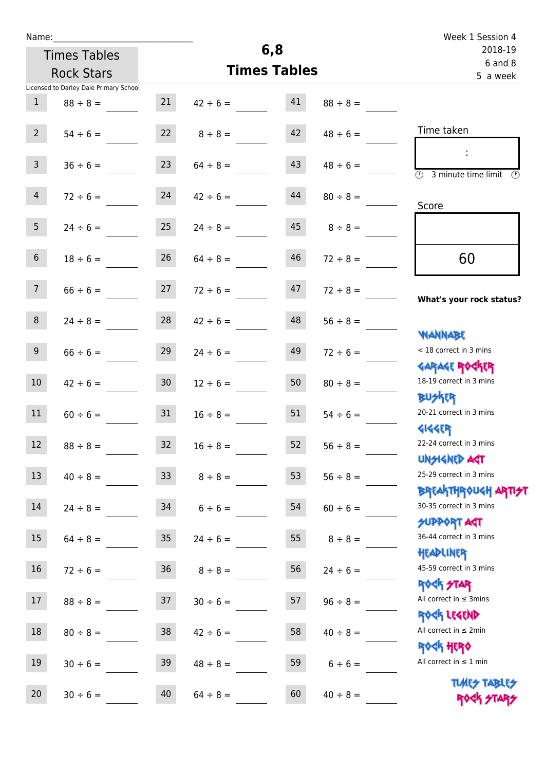| Name:                                  |                     |               |                     |                    | Week 1 Session 4                                                 |
|----------------------------------------|---------------------|---------------|---------------------|--------------------|------------------------------------------------------------------|
| <b>Times Tables</b>                    |                     |               | 6,8                 | 2018-19<br>6 and 8 |                                                                  |
| <b>Rock Stars</b>                      |                     |               | <b>Times Tables</b> |                    | 5 a week                                                         |
| Licensed to Darley Dale Primary School |                     |               |                     |                    |                                                                  |
| $\mathbf{1}$<br>$88 \div 8 =$          | 21                  |               | 41<br>$42 \div 6 =$ | $88 \div 8 =$      |                                                                  |
| 2                                      | 22<br>$54 \div 6 =$ | $8 \div 8 =$  | 42                  | $48 \div 6 =$      | Time taken                                                       |
| 3 <sup>7</sup><br>$36 \div 6 =$        | 23                  | $64 \div 8 =$ | 43                  | $48 \div 6 =$      | (1)<br>3 minute time limit<br>O)                                 |
| 4<br>$72 \div 6 =$                     | 24                  | $42 \div 6 =$ | 44                  | $80 \div 8 =$      | Score                                                            |
| 5 <sup>5</sup><br>$24 \div 6 =$        | 25                  | $24 \div 8 =$ | 45                  | $8 \div 8 =$       |                                                                  |
| 6 <sup>1</sup><br>$18 \div 6 =$        | 26                  | $64 \div 8 =$ | 46                  | $72 \div 8 =$      | 60                                                               |
| 7 <sup>7</sup>                         | $66 \div 6 = 27$    | $72 \div 6 =$ | 47                  | $72 \div 8 =$      | What's your rock status?                                         |
| 8                                      | 28<br>$24 \div 8 =$ | $42 \div 6 =$ | 48                  | $56 \div 8 =$      | <b>NANNABE</b>                                                   |
| 9<br>$66 \div 6 =$                     | 29                  | $24 \div 6 =$ | 49                  | $72 \div 6 =$      | < 18 correct in 3 mins<br><b>GARAGE ROCKER</b>                   |
| 10 <sup>°</sup><br>$42 \div 6 =$       | 30 <sub>o</sub>     | $12 \div 6 =$ | 50                  | $80 \div 8 =$      | 18-19 correct in 3 mins<br><b>BUSKRY</b>                         |
| 11                                     | 31<br>$60 \div 6 =$ | $16 \div 8 =$ | 51                  | $54 \div 6 =$      | 20-21 correct in 3 mins<br><b>4144ER</b>                         |
| 12<br>$88 \div 8 =$                    | 32                  | $16 \div 8 =$ | 52                  | $56 \div 8 =$      | 22-24 correct in 3 mins<br><b>UNSIGNED AGT</b>                   |
| 13<br>$40 \div 8 =$                    | 33 <sup>°</sup>     | $8 \div 8 =$  | 53                  | $56 \div 8 =$      | 25-29 correct in 3 mins<br><b>BREAKTHROUGH ARTI<del>S</del>T</b> |
| 14<br>$24 \div 8 =$                    | 34                  | $6 \div 6 =$  | 54                  | $60 \div 6 =$      | 30-35 correct in 3 mins<br><b>SUPPORT ART</b>                    |
| 15<br>$64 \div 8 =$                    | 35 <sub>1</sub>     | $24 \div 6 =$ | 55                  | $8 \div 8 =$       | 36-44 correct in 3 mins<br>HEADLINER                             |
| $16\,$<br>$72 \div 6 =$                | 36 <sup>°</sup>     | $8 \div 8 =$  | 56                  | $24 \div 6 =$      | 45-59 correct in 3 mins<br><b>ROCK STAR</b>                      |
| 17<br>$88 \div 8 =$                    | 37                  | $30 \div 6 =$ | 57                  | $96 \div 8 =$      | All correct in $\leq$ 3mins<br>ROCK LEGEND                       |
| 18<br>$80 \div 8 =$                    | 38                  | $42 \div 6 =$ | 58                  | $40 \div 8 =$      | All correct in $\leq 2$ min<br><b>ROCK HERO</b>                  |
| 19<br>$30 \div 6 =$                    | 39                  | $48 \div 8 =$ | 59                  | $6 \div 6 =$       | All correct in $\leq 1$ min                                      |
| 20<br>$30 \div 6 =$                    | 40                  | $64 \div 8 =$ | 60                  | $40 \div 8 =$      | <b>TUARS TABLES</b><br>ROCK STARS                                |